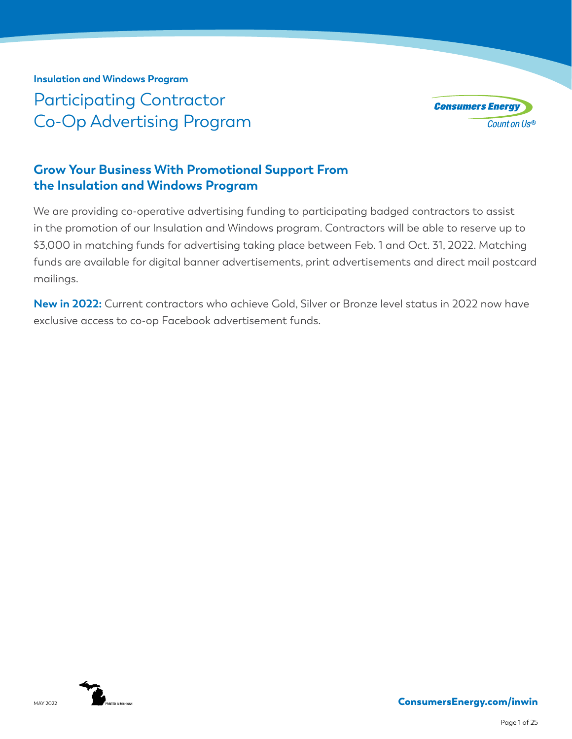**Insulation and Windows Program** Participating Contractor Co-Op Advertising Program



# **Grow Your Business With Promotional Support From the Insulation and Windows Program**

We are providing co-operative advertising funding to participating badged contractors to assist in the promotion of our Insulation and Windows program. Contractors will be able to reserve up to \$3,000 in matching funds for advertising taking place between Feb. 1 and Oct. 31, 2022. Matching funds are available for digital banner advertisements, print advertisements and direct mail postcard mailings.

**New in 2022:** Current contractors who achieve Gold, Silver or Bronze level status in 2022 now have exclusive access to co-op Facebook advertisement funds.

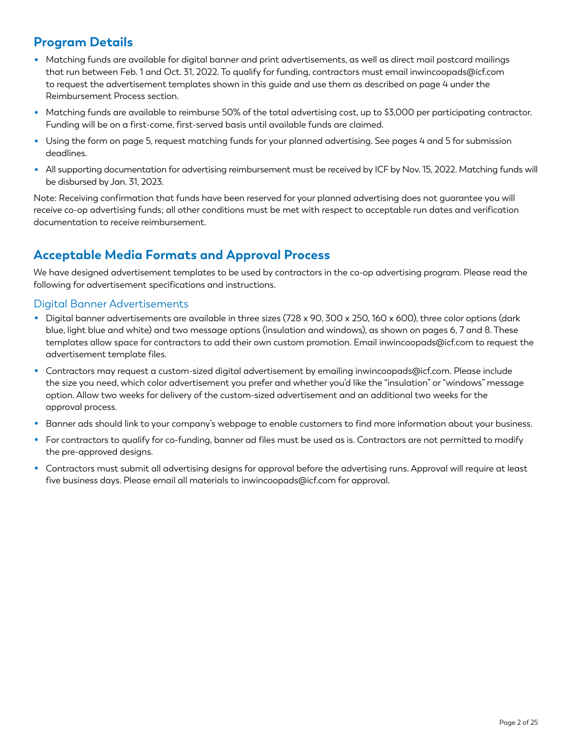# **Program Details**

- Matching funds are available for digital banner and print advertisements, as well as direct mail postcard mailings that run between Feb. 1 and Oct. 31, 2022. To qualify for funding, contractors must email inwincoopads@icf.com to request the advertisement templates shown in this guide and use them as described on page 4 under the Reimbursement Process section.
- Matching funds are available to reimburse 50% of the total advertising cost, up to \$3,000 per participating contractor. Funding will be on a first-come, first-served basis until available funds are claimed.
- Using the form on page 5, request matching funds for your planned advertising. See pages 4 and 5 for submission deadlines.
- All supporting documentation for advertising reimbursement must be received by ICF by Nov. 15, 2022. Matching funds will be disbursed by Jan. 31, 2023.

Note: Receiving confirmation that funds have been reserved for your planned advertising does not guarantee you will receive co-op advertising funds; all other conditions must be met with respect to acceptable run dates and verification documentation to receive reimbursement.

# **Acceptable Media Formats and Approval Process**

We have designed advertisement templates to be used by contractors in the co-op advertising program. Please read the following for advertisement specifications and instructions.

#### Digital Banner Advertisements

- Digital banner advertisements are available in three sizes (728 x 90, 300 x 250, 160 x 600), three color options (dark blue, light blue and white) and two message options (insulation and windows), as shown on pages 6, 7 and 8. These templates allow space for contractors to add their own custom promotion. Email inwincoopads@icf.com to request the advertisement template files.
- Contractors may request a custom-sized digital advertisement by emailing inwincoopads@icf.com. Please include the size you need, which color advertisement you prefer and whether you'd like the "insulation" or "windows" message option. Allow two weeks for delivery of the custom-sized advertisement and an additional two weeks for the approval process.
- Banner ads should link to your company's webpage to enable customers to find more information about your business.
- For contractors to qualify for co-funding, banner ad files must be used as is. Contractors are not permitted to modify the pre-approved designs.
- Contractors must submit all advertising designs for approval before the advertising runs. Approval will require at least five business days. Please email all materials to inwincoopads@icf.com for approval.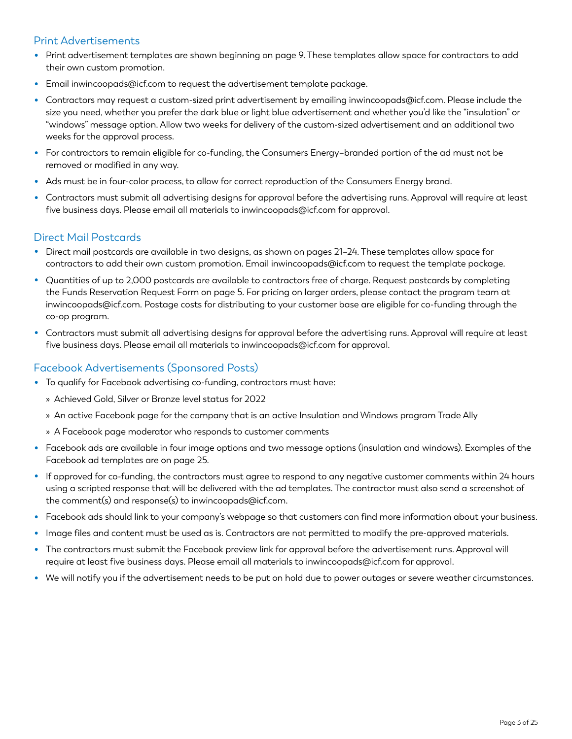#### Print Advertisements

- Print advertisement templates are shown beginning on page 9. These templates allow space for contractors to add their own custom promotion.
- Email inwincoopads@icf.com to request the advertisement template package.
- Contractors may request a custom-sized print advertisement by emailing inwincoopads@icf.com. Please include the size you need, whether you prefer the dark blue or light blue advertisement and whether you'd like the "insulation" or "windows" message option. Allow two weeks for delivery of the custom-sized advertisement and an additional two weeks for the approval process.
- For contractors to remain eligible for co-funding, the Consumers Energy–branded portion of the ad must not be removed or modified in any way.
- Ads must be in four-color process, to allow for correct reproduction of the Consumers Energy brand.
- Contractors must submit all advertising designs for approval before the advertising runs. Approval will require at least five business days. Please email all materials to inwincoopads@icf.com for approval.

#### Direct Mail Postcards

- Direct mail postcards are available in two designs, as shown on pages 21–24. These templates allow space for contractors to add their own custom promotion. Email inwincoopads@icf.com to request the template package.
- Quantities of up to 2,000 postcards are available to contractors free of charge. Request postcards by completing the Funds Reservation Request Form on page 5. For pricing on larger orders, please contact the program team at inwincoopads@icf.com. Postage costs for distributing to your customer base are eligible for co-funding through the co-op program.
- Contractors must submit all advertising designs for approval before the advertising runs. Approval will require at least five business days. Please email all materials to inwincoopads@icf.com for approval.

#### Facebook Advertisements (Sponsored Posts)

- To qualify for Facebook advertising co-funding, contractors must have:
	- » Achieved Gold, Silver or Bronze level status for 2022
	- » An active Facebook page for the company that is an active Insulation and Windows program Trade Ally
	- » A Facebook page moderator who responds to customer comments
- Facebook ads are available in four image options and two message options (insulation and windows). Examples of the Facebook ad templates are on page 25.
- If approved for co-funding, the contractors must agree to respond to any negative customer comments within 24 hours using a scripted response that will be delivered with the ad templates. The contractor must also send a screenshot of the comment(s) and response(s) to inwincoopads@icf.com.
- Facebook ads should link to your company's webpage so that customers can find more information about your business.
- Image files and content must be used as is. Contractors are not permitted to modify the pre-approved materials.
- The contractors must submit the Facebook preview link for approval before the advertisement runs. Approval will require at least five business days. Please email all materials to inwincoopads@icf.com for approval.
- We will notify you if the advertisement needs to be put on hold due to power outages or severe weather circumstances.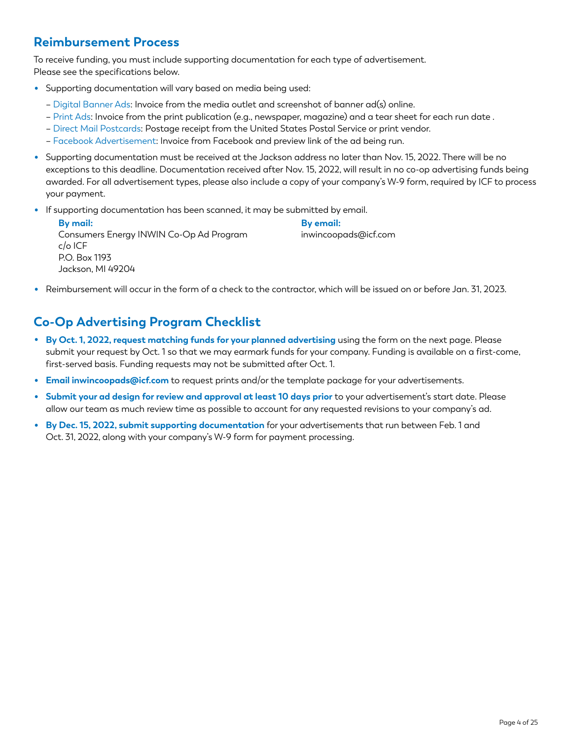# **Reimbursement Process**

To receive funding, you must include supporting documentation for each type of advertisement. Please see the specifications below.

- Supporting documentation will vary based on media being used:
	- Digital Banner Ads: Invoice from the media outlet and screenshot of banner ad(s) online.
	- Print Ads: Invoice from the print publication (e.g., newspaper, magazine) and a tear sheet for each run date .
	- Direct Mail Postcards: Postage receipt from the United States Postal Service or print vendor.
	- Facebook Advertisement: Invoice from Facebook and preview link of the ad being run.
- Supporting documentation must be received at the Jackson address no later than Nov. 15, 2022. There will be no exceptions to this deadline. Documentation received after Nov. 15, 2022, will result in no co-op advertising funds being awarded. For all advertisement types, please also include a copy of your company's W-9 form, required by ICF to process your payment.
- If supporting documentation has been scanned, it may be submitted by email.

| By mail:                                | By email:            |
|-----------------------------------------|----------------------|
| Consumers Energy INWIN Co-Op Ad Program | inwincoopads@icf.com |
| c/o ICF                                 |                      |
| P.O. Box 1193                           |                      |
| Jackson, MI 49204                       |                      |

• Reimbursement will occur in the form of a check to the contractor, which will be issued on or before Jan. 31, 2023.

# **Co-Op Advertising Program Checklist**

- **By Oct. 1, 2022, request matching funds for your planned advertising** using the form on the next page. Please submit your request by Oct. 1 so that we may earmark funds for your company. Funding is available on a first-come, first-served basis. Funding requests may not be submitted after Oct. 1.
- **Email inwincoopads@icf.com** to request prints and/or the template package for your advertisements.
- **Submit your ad design for review and approval at least 10 days prior** to your advertisement's start date. Please allow our team as much review time as possible to account for any requested revisions to your company's ad.
- **By Dec. 15, 2022, submit supporting documentation** for your advertisements that run between Feb. 1 and Oct. 31, 2022, along with your company's W-9 form for payment processing.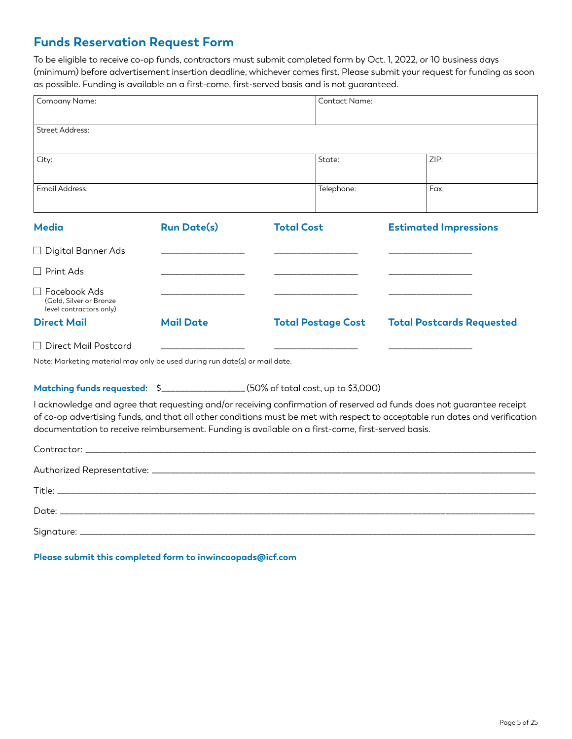# **Funds Reservation Request Form**

To be eligible to receive co-op funds, contractors must submit completed form by Oct. 1, 2022, or 10 business days (minimum) before advertisement insertion deadline, whichever comes first. Please submit your request for funding as soon as possible. Funding is available on a first-come, first-served basis and is not guaranteed.

| Company Name:                                                                                                                                                                                                                                                                                                                                             |                    |                   | Contact Name:             |                              |                                  |
|-----------------------------------------------------------------------------------------------------------------------------------------------------------------------------------------------------------------------------------------------------------------------------------------------------------------------------------------------------------|--------------------|-------------------|---------------------------|------------------------------|----------------------------------|
| <b>Street Address:</b>                                                                                                                                                                                                                                                                                                                                    |                    |                   |                           |                              |                                  |
| City:                                                                                                                                                                                                                                                                                                                                                     |                    |                   | State:                    | ZIP:                         |                                  |
| Email Address:                                                                                                                                                                                                                                                                                                                                            |                    |                   | Telephone:                | Fax:                         |                                  |
| <b>Media</b>                                                                                                                                                                                                                                                                                                                                              | <b>Run Date(s)</b> | <b>Total Cost</b> |                           | <b>Estimated Impressions</b> |                                  |
| $\Box$ Digital Banner Ads                                                                                                                                                                                                                                                                                                                                 |                    |                   |                           |                              |                                  |
| $\Box$ Print Ads                                                                                                                                                                                                                                                                                                                                          |                    |                   |                           |                              |                                  |
| $\Box$ Facebook Ads<br>(Gold, Silver or Bronze)<br>level contractors only)                                                                                                                                                                                                                                                                                |                    |                   |                           |                              |                                  |
| <b>Direct Mail</b>                                                                                                                                                                                                                                                                                                                                        | <b>Mail Date</b>   |                   | <b>Total Postage Cost</b> |                              | <b>Total Postcards Requested</b> |
| □ Direct Mail Postcard<br>Note: Marketing material may only be used during run date(s) or mail date.                                                                                                                                                                                                                                                      |                    |                   |                           |                              |                                  |
| Matching funds requested: \$_________________(50% of total cost, up to \$3,000)                                                                                                                                                                                                                                                                           |                    |                   |                           |                              |                                  |
| I acknowledge and agree that requesting and/or receiving confirmation of reserved ad funds does not guarantee receipt<br>of co-op advertising funds, and that all other conditions must be met with respect to acceptable run dates and verification<br>documentation to receive reimbursement. Funding is available on a first-come, first-served basis. |                    |                   |                           |                              |                                  |
|                                                                                                                                                                                                                                                                                                                                                           |                    |                   |                           |                              |                                  |
|                                                                                                                                                                                                                                                                                                                                                           |                    |                   |                           |                              |                                  |
|                                                                                                                                                                                                                                                                                                                                                           |                    |                   |                           |                              |                                  |
|                                                                                                                                                                                                                                                                                                                                                           |                    |                   |                           |                              |                                  |
|                                                                                                                                                                                                                                                                                                                                                           |                    |                   |                           |                              |                                  |

**Please submit this completed form to inwincoopads@icf.com**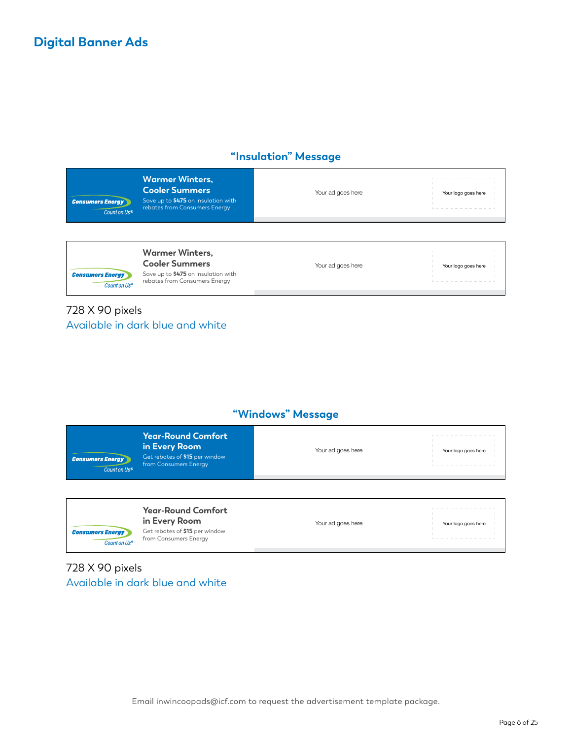## **"Insulation" Message**

| <b>Consumers Energy</b><br>Count on Us® | <b>Warmer Winters,</b><br><b>Cooler Summers</b><br>Save up to \$475 on insulation with<br>rebates from Consumers Energy | Your ad goes here | Your logo goes here |
|-----------------------------------------|-------------------------------------------------------------------------------------------------------------------------|-------------------|---------------------|
|                                         |                                                                                                                         |                   |                     |

**Consumers Energy** Count on Us<sup>®</sup>

**Warmer Winters, Cooler Summers** Save up to **\$475** on insulation with rebates from Consumers Energy

Your ad goes here Your logo goes here

## 728 X 90 pixels Available in dark blue and white

### **"Windows" Message**

| <b>Consumers Energy</b><br>Count on Us® | Year-Round Comfort ,<br>in Every Room<br>Get rebates of \$15 per window<br>from Consumers Energy | Your ad goes here | Your logo goes here |
|-----------------------------------------|--------------------------------------------------------------------------------------------------|-------------------|---------------------|
|                                         |                                                                                                  |                   |                     |
|                                         |                                                                                                  |                   |                     |

## 728 X 90 pixels Available in dark blue and white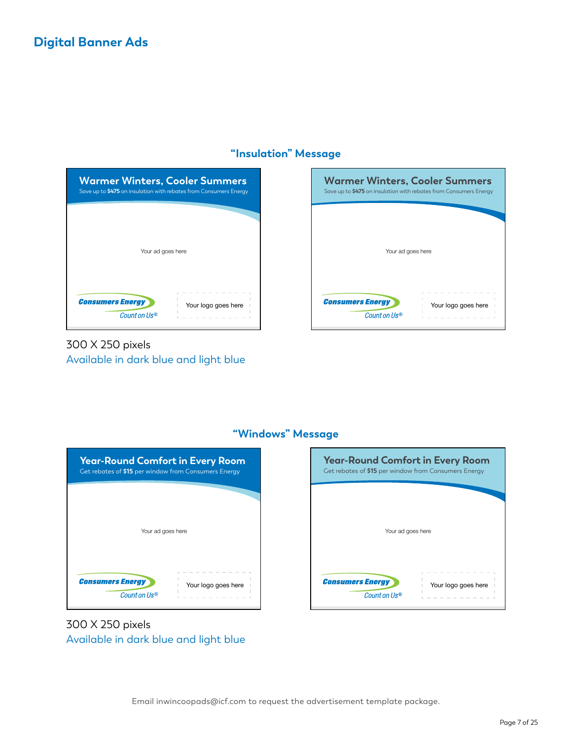## **Digital Banner Ads**

#### **"Insulation" Message**



## 300 X 250 pixels Available in dark blue and light blue





## **"Windows" Message**

300 X 250 pixels Available in dark blue and light blue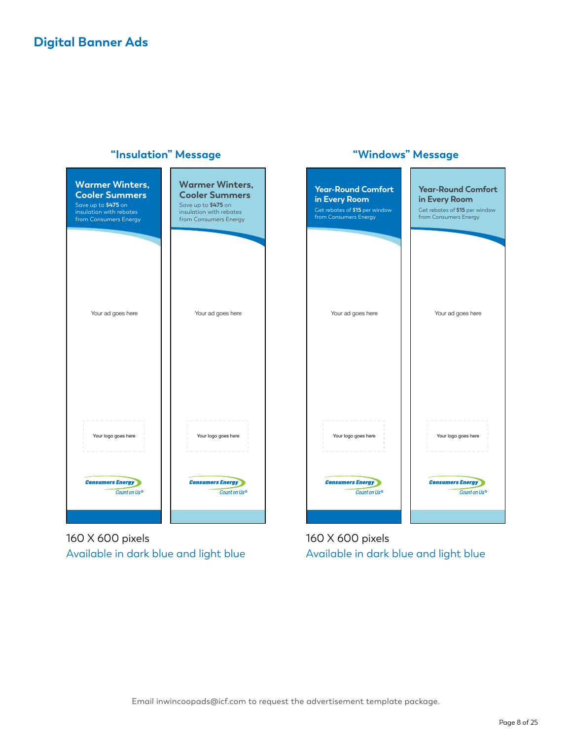

Your ad goes here

Your logo goes here

**Consumers Energy** 

Count on Us®

Get rebates of **\$15** per window from Consumers Energy

**Year-Round Comfort in Every Room**

160 X 600 pixels Available in dark blue and light blue

160 X 600 pixels Available in dark blue and light blue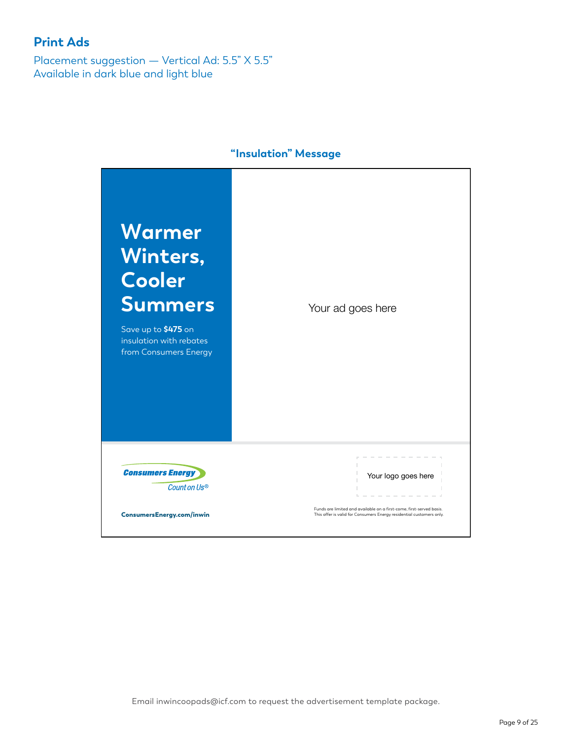Placement suggestion — Vertical Ad: 5.5" X 5.5" Available in dark blue and light blue

**Consumers Energy** 

Count on Us®



#### **"Insulation" Message**

Your logo goes here

Funds are limited and available on a first-come, first-served basis.<br>This offer is valid for Consumers Energy residential customers only.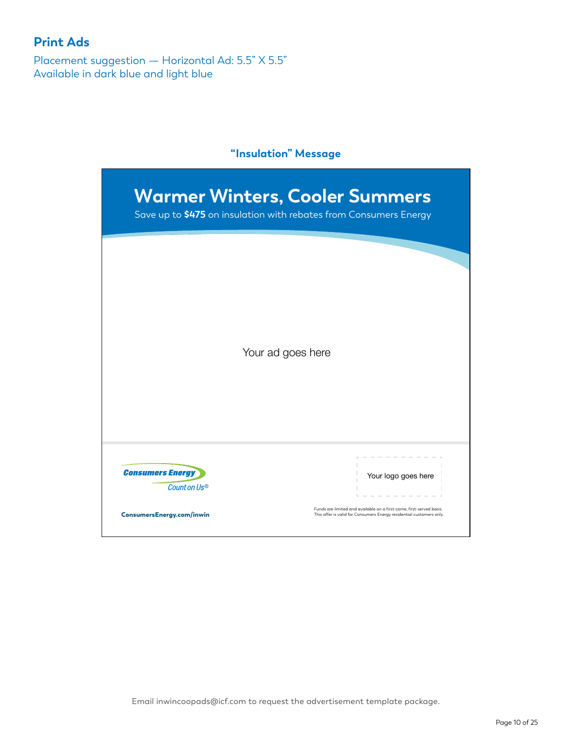Placement suggestion — Horizontal Ad: 5.5" X 5.5" Available in dark blue and light blue

## **"Insulation" Message**

|                         | Your ad goes here |
|-------------------------|-------------------|
|                         |                   |
|                         |                   |
|                         |                   |
|                         |                   |
|                         |                   |
|                         |                   |
|                         |                   |
| <b>Consumers Energy</b> |                   |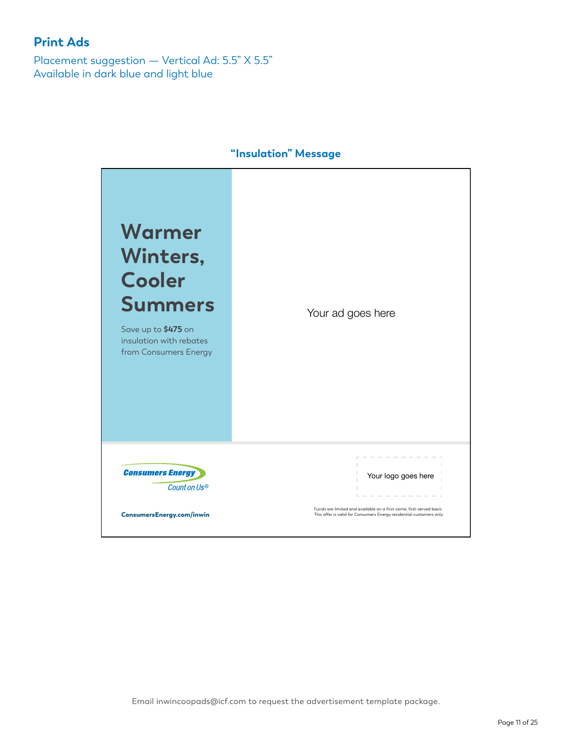Placement suggestion — Vertical Ad: 5.5" X 5.5" Available in dark blue and light blue



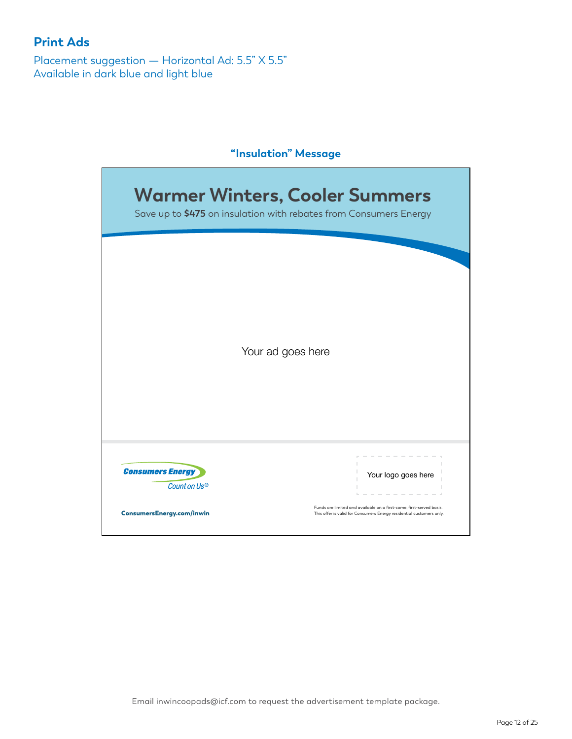Placement suggestion — Horizontal Ad: 5.5" X 5.5" Available in dark blue and light blue

## **"Insulation" Message**

|                         | Your ad goes here   |
|-------------------------|---------------------|
|                         |                     |
|                         |                     |
|                         |                     |
|                         |                     |
|                         |                     |
|                         |                     |
|                         |                     |
| <b>Consumers Energy</b> | Your logo goes here |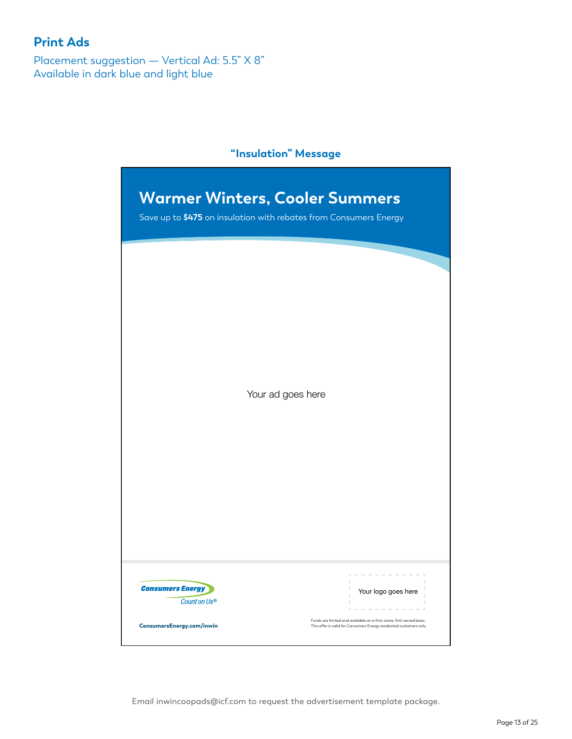Placement suggestion — Vertical Ad: 5.5" X 8" Available in dark blue and light blue

## **"Insulation" Message**

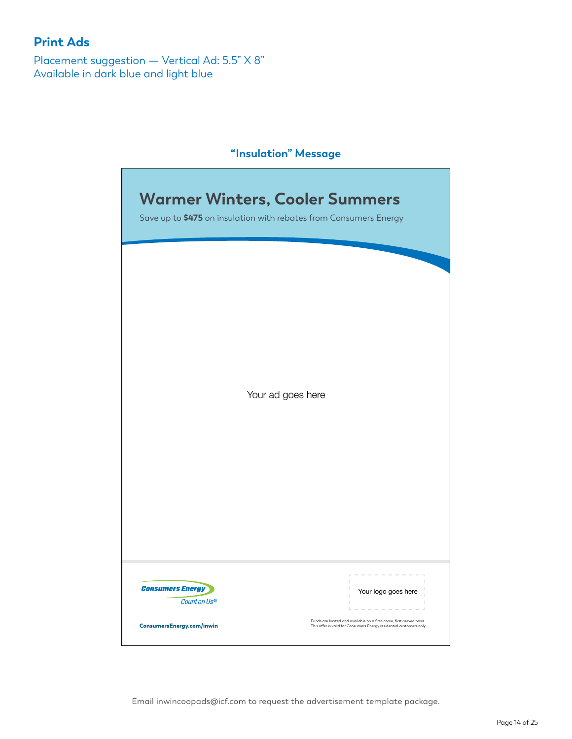Placement suggestion — Vertical Ad: 5.5" X 8" Available in dark blue and light blue

## **"Insulation" Message**

| <b>Warmer Winters, Cooler Summers</b><br>Save up to \$475 on insulation with rebates from Consumers Energy |                   |                     |
|------------------------------------------------------------------------------------------------------------|-------------------|---------------------|
|                                                                                                            |                   |                     |
|                                                                                                            |                   |                     |
|                                                                                                            |                   |                     |
|                                                                                                            |                   |                     |
|                                                                                                            |                   |                     |
|                                                                                                            |                   |                     |
|                                                                                                            |                   |                     |
|                                                                                                            |                   |                     |
|                                                                                                            | Your ad goes here |                     |
|                                                                                                            |                   |                     |
|                                                                                                            |                   |                     |
|                                                                                                            |                   |                     |
|                                                                                                            |                   |                     |
|                                                                                                            |                   |                     |
|                                                                                                            |                   |                     |
|                                                                                                            |                   |                     |
|                                                                                                            |                   |                     |
|                                                                                                            |                   |                     |
|                                                                                                            |                   |                     |
| <b>Consumers Energy</b>                                                                                    |                   | Your logo goes here |
| Count on Us®                                                                                               |                   |                     |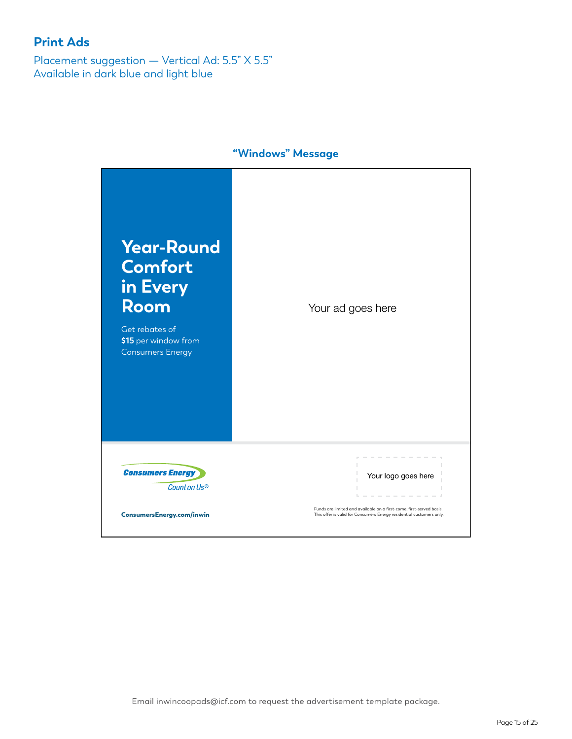Placement suggestion — Vertical Ad: 5.5" X 5.5" Available in dark blue and light blue



**"Windows" Message**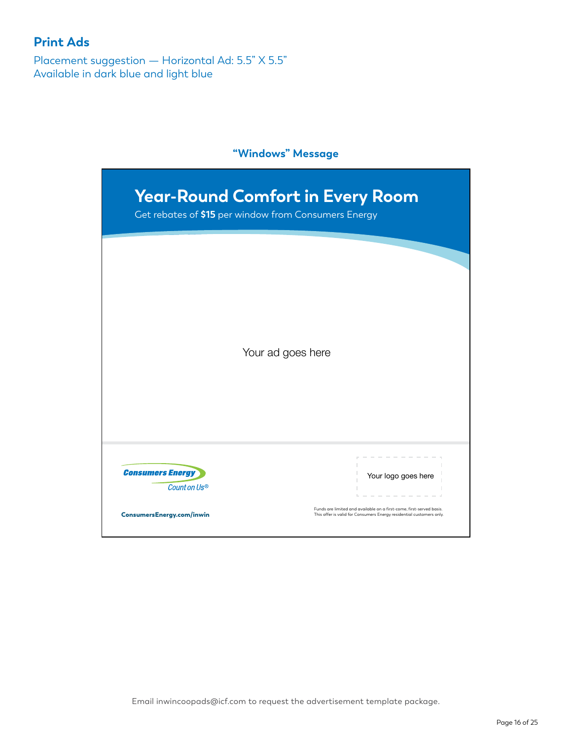Placement suggestion — Horizontal Ad: 5.5" X 5.5" Available in dark blue and light blue

## **"Windows" Message**

| Get rebates of \$15 per window from Consumers Energy |                     |  |
|------------------------------------------------------|---------------------|--|
|                                                      |                     |  |
|                                                      |                     |  |
|                                                      |                     |  |
|                                                      |                     |  |
|                                                      |                     |  |
|                                                      |                     |  |
|                                                      | Your ad goes here   |  |
|                                                      |                     |  |
|                                                      |                     |  |
|                                                      |                     |  |
|                                                      |                     |  |
|                                                      |                     |  |
|                                                      |                     |  |
|                                                      |                     |  |
| <b>Consumers Energy</b>                              | Your logo goes here |  |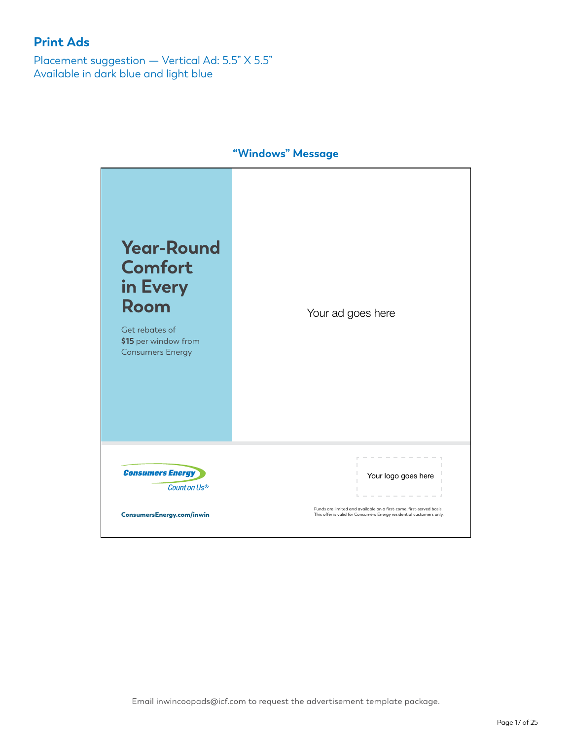Placement suggestion — Vertical Ad: 5.5" X 5.5" Available in dark blue and light blue

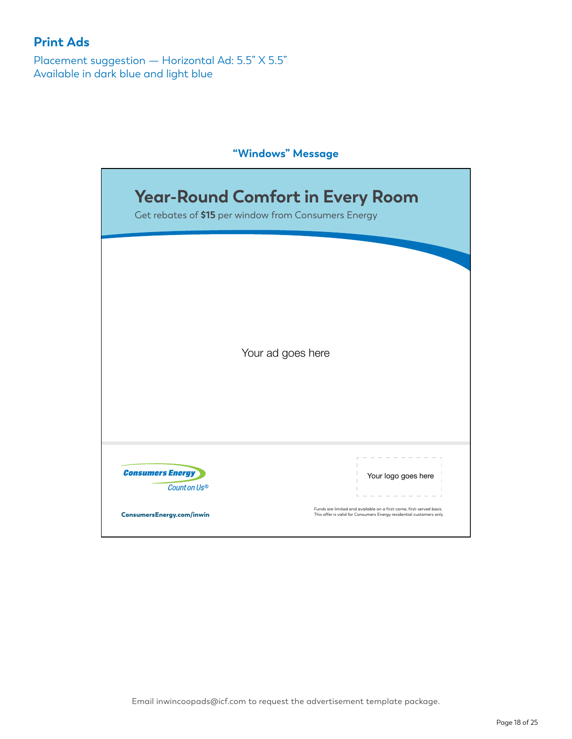Placement suggestion — Horizontal Ad: 5.5" X 5.5" Available in dark blue and light blue

## **"Windows" Message**

| <b>Year-Round Comfort in Every Room</b> |                                                                      |  |  |
|-----------------------------------------|----------------------------------------------------------------------|--|--|
|                                         | Get rebates of \$15 per window from Consumers Energy                 |  |  |
|                                         |                                                                      |  |  |
|                                         |                                                                      |  |  |
|                                         |                                                                      |  |  |
|                                         |                                                                      |  |  |
|                                         |                                                                      |  |  |
|                                         |                                                                      |  |  |
|                                         |                                                                      |  |  |
|                                         | Your ad goes here                                                    |  |  |
|                                         |                                                                      |  |  |
|                                         |                                                                      |  |  |
|                                         |                                                                      |  |  |
|                                         |                                                                      |  |  |
|                                         |                                                                      |  |  |
|                                         |                                                                      |  |  |
| <b>Consumers Energy</b><br>Count on Us® | Your logo goes here                                                  |  |  |
|                                         |                                                                      |  |  |
| <b>ConsumersEnergy.com/inwin</b>        | Funds are limited and available on a first-come, first-served basis. |  |  |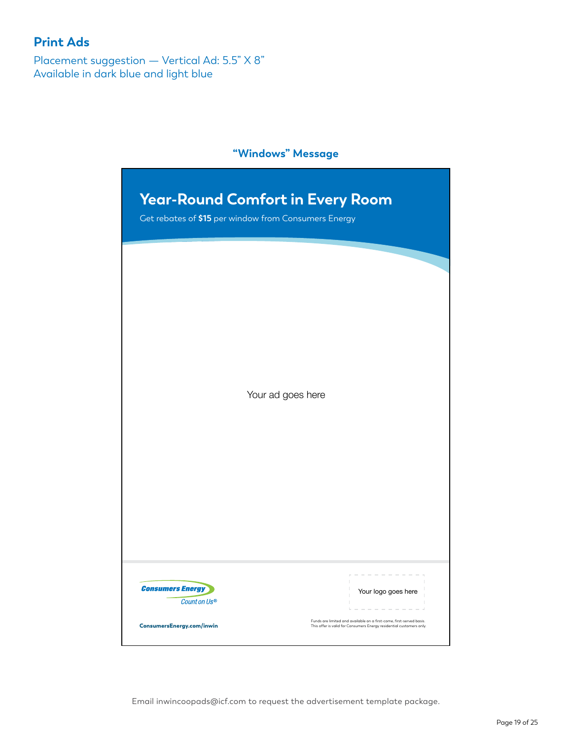Placement suggestion — Vertical Ad: 5.5" X 8" Available in dark blue and light blue

#### **"Windows" Message**

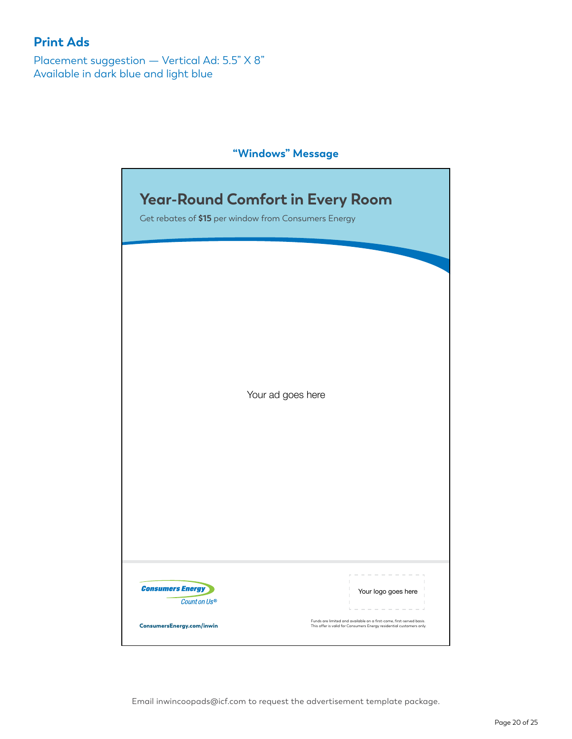Placement suggestion — Vertical Ad: 5.5" X 8" Available in dark blue and light blue

#### **"Windows" Message**

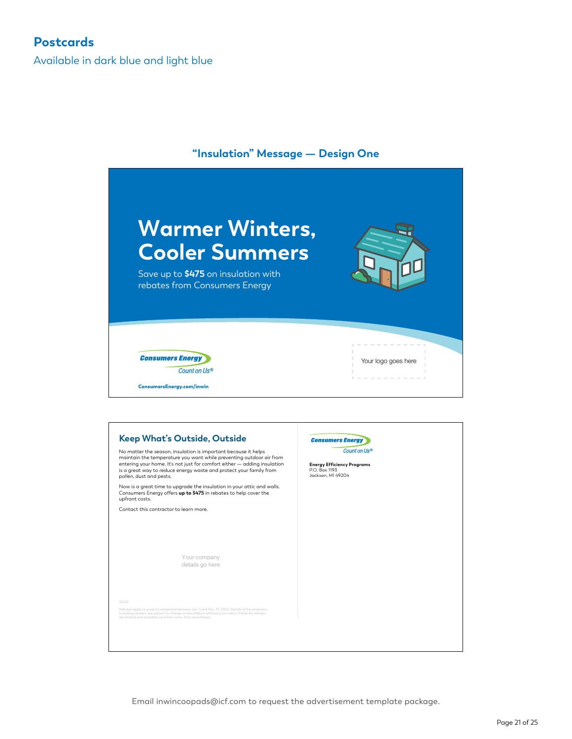Available in dark blue and light blue

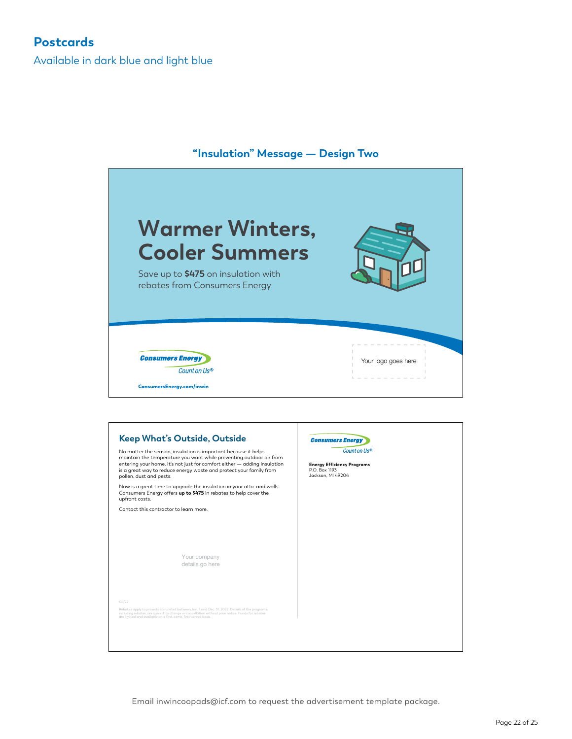Available in dark blue and light blue



#### **"Insulation" Message — Design Two**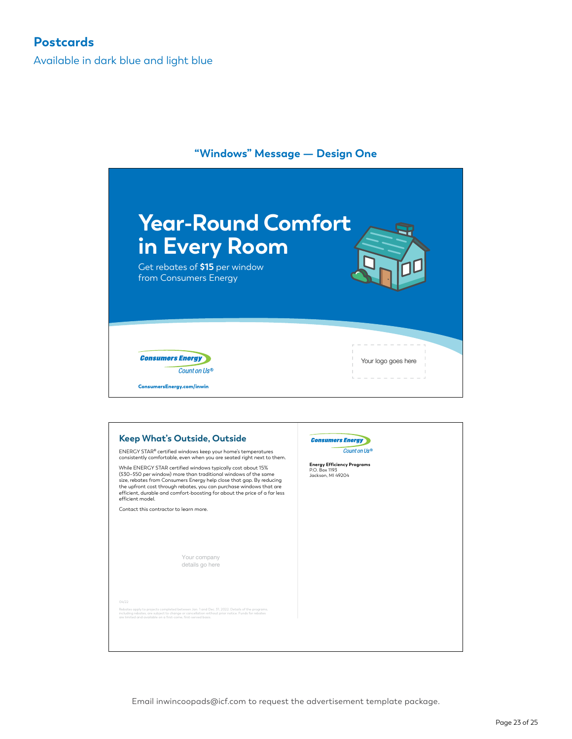Available in dark blue and light blue



Your company details go here

Rebates apply to projects completed between Jan. 1 and Dec. 31, 2022. Details of the programs, including rebates, are subject to change or cancellation without prior notice. Funds for rebates are limited and available on a first-come, first-served basis.

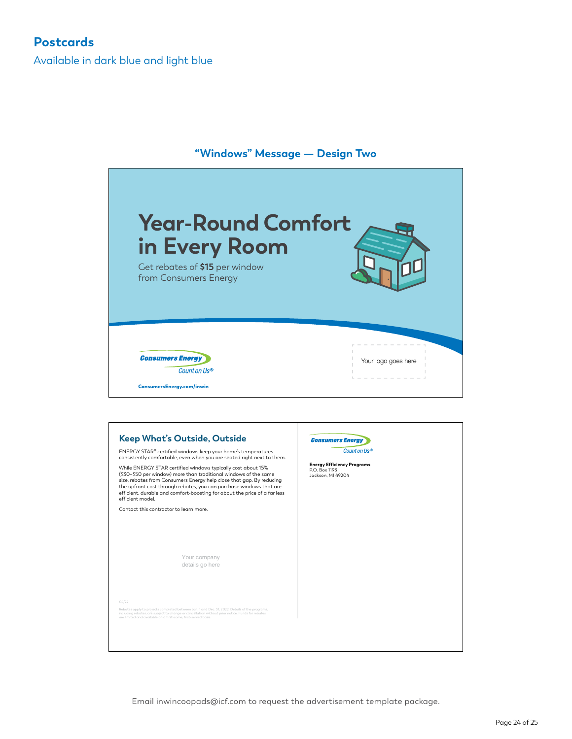Available in dark blue and light blue

# **"Windows" Message — Design Two Year-Round Comfort in Every Room** Get rebates of **\$15** per window from Consumers Energy **Consumers Energy** Your logo goes here Count on Us® ConsumersEnergy.com/inwin **Keep What's Outside, Outside Consumers Energy**

Count on Us® ENERGY STAR® certified windows keep your home's temperatures consistently comfortable, even when you are seated right next to them. While ENERGY STAR certified windows typically cost about 15% **Energy Efficiency Programs**<br>P.O. Box 1193<br>Jackson, MI 49204 (\$30–\$50 per window) more than traditional windows of the same size, rebates from Consumers Energy help close that gap. By reducing the upfront cost through rebates, you can purchase windows that are efficient, durable and comfort-boosting for about the price of a far less efficient model. Contact this contractor to learn more. Your company details go here Rebates apply to projects completed between Jan. 1 and Dec. 31, 2022. Details of the programs, including rebates, are subject to change or cancellation without prior notice. Funds for rebates are limited and available on a first-come, first-served basis.